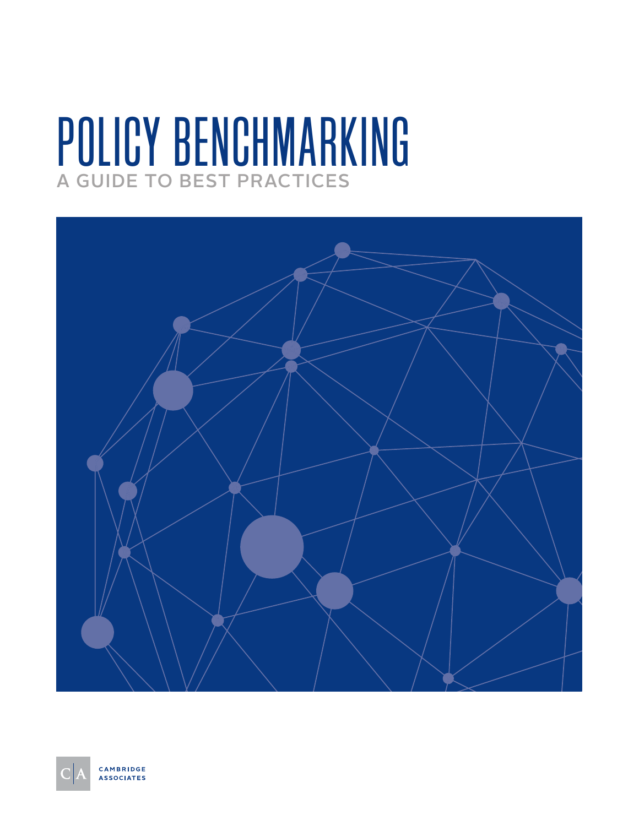# POLICY BENCHMARKING A GUIDE TO BEST PRACTICES



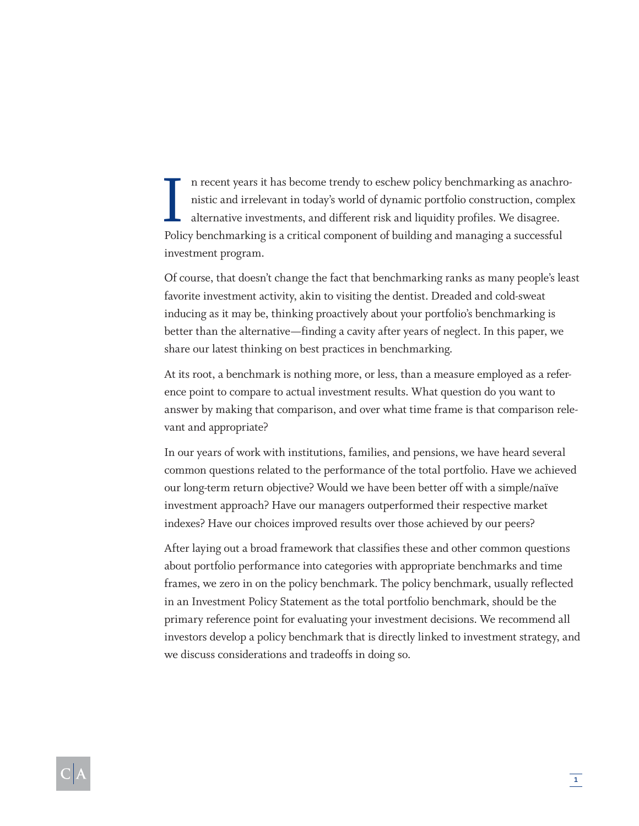In recent years it has become trendy to eschew policy benchmarking as anachronistic and irrelevant in today's world of dynamic portfolio construction, complete alternative investments, and different risk and liquidity prof n recent years it has become trendy to eschew policy benchmarking as anachronistic and irrelevant in today's world of dynamic portfolio construction, complex alternative investments, and different risk and liquidity profiles. We disagree. investment program.

Of course, that doesn't change the fact that benchmarking ranks as many people's least favorite investment activity, akin to visiting the dentist. Dreaded and cold-sweat inducing as it may be, thinking proactively about your portfolio's benchmarking is better than the alternative—finding a cavity after years of neglect. In this paper, we share our latest thinking on best practices in benchmarking.

At its root, a benchmark is nothing more, or less, than a measure employed as a reference point to compare to actual investment results. What question do you want to answer by making that comparison, and over what time frame is that comparison relevant and appropriate?

In our years of work with institutions, families, and pensions, we have heard several common questions related to the performance of the total portfolio. Have we achieved our long-term return objective? Would we have been better off with a simple/naïve investment approach? Have our managers outperformed their respective market indexes? Have our choices improved results over those achieved by our peers?

After laying out a broad framework that classifies these and other common questions about portfolio performance into categories with appropriate benchmarks and time frames, we zero in on the policy benchmark. The policy benchmark, usually reflected in an Investment Policy Statement as the total portfolio benchmark, should be the primary reference point for evaluating your investment decisions. We recommend all investors develop a policy benchmark that is directly linked to investment strategy, and we discuss considerations and tradeoffs in doing so.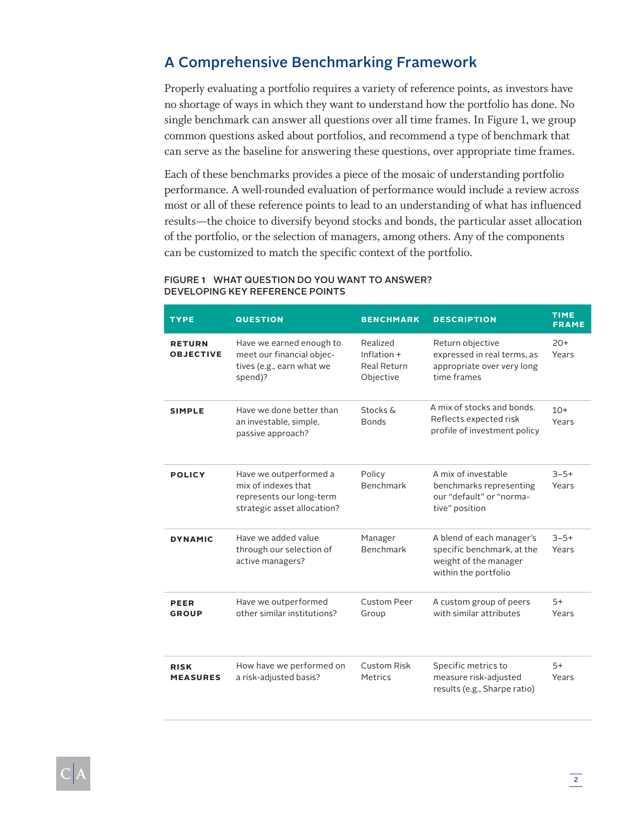## A Comprehensive Benchmarking Framework

Properly evaluating a portfolio requires a variety of reference points, as investors have no shortage of ways in which they want to understand how the portfolio has done. No single benchmark can answer all questions over all time frames. In Figure 1, we group common questions asked about portfolios, and recommend a type of benchmark that can serve as the baseline for answering these questions, over appropriate time frames.

Each of these benchmarks provides a piece of the mosaic of understanding portfolio performance. A well-rounded evaluation of performance would include a review across most or all of these reference points to lead to an understanding of what has influenced results—the choice to diversify beyond stocks and bonds, the particular asset allocation of the portfolio, or the selection of managers, among others. Any of the components can be customized to match the specific context of the portfolio.

#### FIGURE 1WHAT QUESTION DO YOU WANT TO ANSWER? DEVELOPING KEY REFERENCE POINTS

| <b>TYPE</b>                       | <b>QUESTION</b>                                                                                          | <b>BENCHMARK</b>                                    | <b>DESCRIPTION</b>                                                                                       | <b>TIME</b><br><b>FRAME</b> |
|-----------------------------------|----------------------------------------------------------------------------------------------------------|-----------------------------------------------------|----------------------------------------------------------------------------------------------------------|-----------------------------|
| <b>RETURN</b><br><b>OBJECTIVE</b> | Have we earned enough to<br>meet our financial objec-<br>tives (e.g., earn what we<br>spend)?            | Realized<br>Inflation +<br>Real Return<br>Objective | Return objective<br>expressed in real terms, as<br>appropriate over very long<br>time frames             | $20+$<br>Years              |
| <b>SIMPLE</b>                     | Have we done better than<br>an investable, simple,<br>passive approach?                                  | Stocks &<br><b>Bonds</b>                            | A mix of stocks and bonds.<br>Reflects expected risk<br>profile of investment policy                     | $10+$<br>Years              |
| <b>POLICY</b>                     | Have we outperformed a<br>mix of indexes that<br>represents our long-term<br>strategic asset allocation? | Policy<br>Benchmark                                 | A mix of investable<br>benchmarks representing<br>our "default" or "norma-<br>tive" position             | $3 - 5 +$<br>Years          |
| <b>DYNAMIC</b>                    | Have we added value<br>through our selection of<br>active managers?                                      | Manager<br><b>Benchmark</b>                         | A blend of each manager's<br>specific benchmark, at the<br>weight of the manager<br>within the portfolio | $3 - 5 +$<br>Years          |
| PEER<br><b>GROUP</b>              | Have we outperformed<br>other similar institutions?                                                      | <b>Custom Peer</b><br>Group                         | A custom group of peers<br>with similar attributes                                                       | $5+$<br>Years               |
| <b>RISK</b><br><b>MEASURES</b>    | How have we performed on<br>a risk-adjusted basis?                                                       | <b>Custom Risk</b><br>Metrics                       | Specific metrics to<br>measure risk-adjusted<br>results (e.g., Sharpe ratio)                             | $5+$<br>Years               |

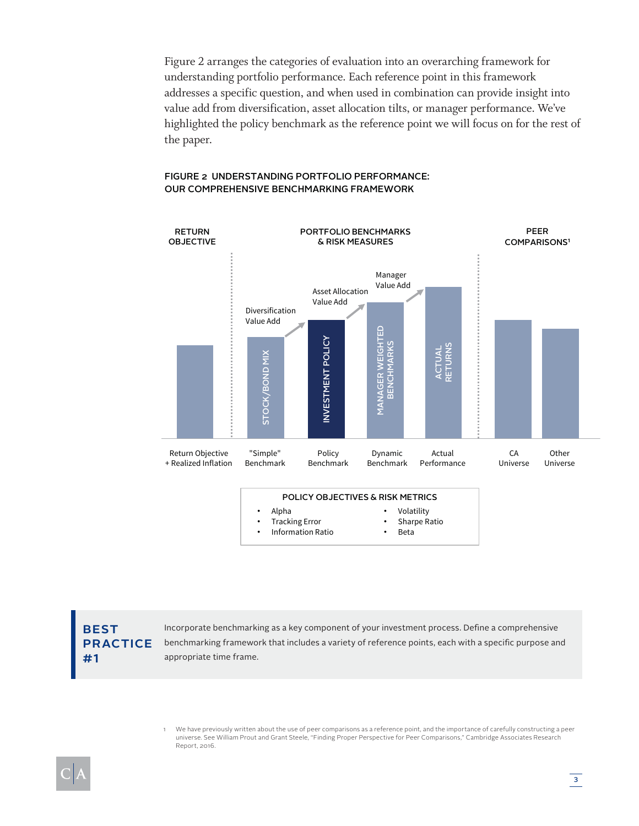Figure 2 arranges the categories of evaluation into an overarching framework for understanding portfolio performance. Each reference point in this framework addresses a specific question, and when used in combination can provide insight into value add from diversification, asset allocation tilts, or manager performance. We've highlighted the policy benchmark as the reference point we will focus on for the rest of the paper.

#### STOCK/BOND MIX<br>INVESTMENT POLICY<br>INVESTMENT POLICY<br>MANAGER WEIGHTED PORTFOLIO BENCHMARKS & RISK MEASURES PEER COMPARISONS<sup>1</sup> RETURN OBJECTIVE Return Objective + Realized Inflation "Simple" Benchmark Policy Benchmark Dynamic Benchmark Actual Performance CA Universe **Other** Universe ACTUAL RETURNS Diversification Value Add Asset Allocation Value Add Manager Value Add POLICY OBJECTIVES & RISK METRICS • Alpha • Tracking Error • Information Ratio • Volatility Sharpe Ratio • Beta

#### FIGURE 2 UNDERSTANDING PORTFOLIO PERFORMANCE: OUR COMPREHENSIVE BENCHMARKING FRAMEWORK

**BEST** PRACTICE #1

Incorporate benchmarking as a key component of your investment process. Defne a comprehensive benchmarking framework that includes a variety of reference points, each with a specifc purpose and appropriate time frame.

1 We have previously written about the use of peer comparisons as a reference point, and the importance of carefully constructing a peer universe. See William Prout and Grant Steele, "Finding Proper Perspective for Peer Comparisons," Cambridge Associates Research Report, 2016.

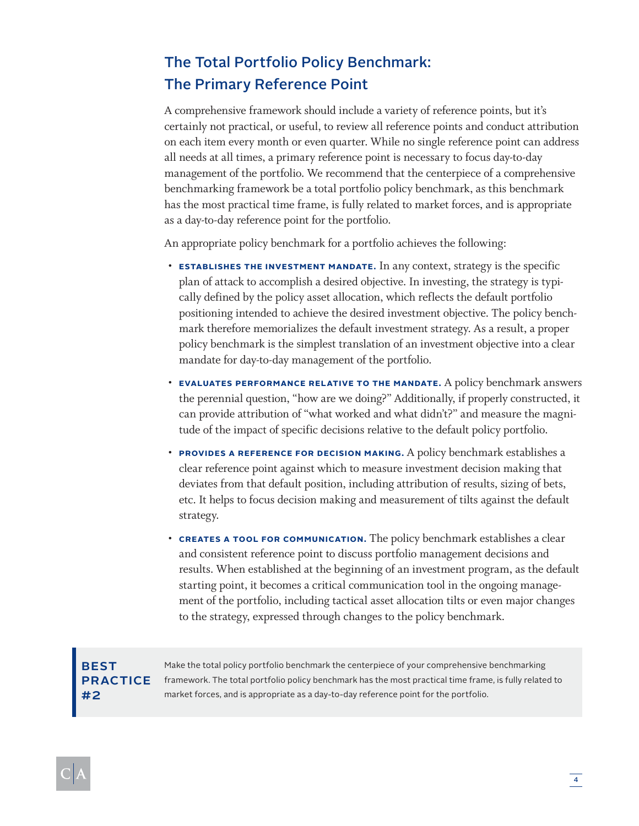## The Total Portfolio Policy Benchmark: The Primary Reference Point

A comprehensive framework should include a variety of reference points, but it's certainly not practical, or useful, to review all reference points and conduct attribution on each item every month or even quarter. While no single reference point can address all needs at all times, a primary reference point is necessary to focus day-to-day management of the portfolio. We recommend that the centerpiece of a comprehensive benchmarking framework be a total portfolio policy benchmark, as this benchmark has the most practical time frame, is fully related to market forces, and is appropriate as a day-to-day reference point for the portfolio.

An appropriate policy benchmark for a portfolio achieves the following:

- **ESTABLISHES THE INVESTMENT MANDATE.** In any context, strategy is the specific plan of attack to accomplish a desired objective. In investing, the strategy is typically defined by the policy asset allocation, which reflects the default portfolio positioning intended to achieve the desired investment objective. The policy benchmark therefore memorializes the default investment strategy. As a result, a proper policy benchmark is the simplest translation of an investment objective into a clear mandate for day-to-day management of the portfolio.
- **EVALUATES PERFORMANCE RELATIVE TO THE MANDATE.** A policy benchmark answers the perennial question, "how are we doing?" Additionally, if properly constructed, it can provide attribution of "what worked and what didn't?" and measure the magnitude of the impact of specific decisions relative to the default policy portfolio.
- **PROVIDES A REFERENCE FOR DECISION MAKING.** A policy benchmark establishes a clear reference point against which to measure investment decision making that deviates from that default position, including attribution of results, sizing of bets, etc. It helps to focus decision making and measurement of tilts against the default strategy.
- **CREATES A TOOL FOR COMMUNICATION.** The policy benchmark establishes a clear and consistent reference point to discuss portfolio management decisions and results. When established at the beginning of an investment program, as the default starting point, it becomes a critical communication tool in the ongoing management of the portfolio, including tactical asset allocation tilts or even major changes to the strategy, expressed through changes to the policy benchmark.

## **BEST** PRACTICE #2

Make the total policy portfolio benchmark the centerpiece of your comprehensive benchmarking framework. The total portfolio policy benchmark has the most practical time frame, is fully related to market forces, and is appropriate as a day-to-day reference point for the portfolio.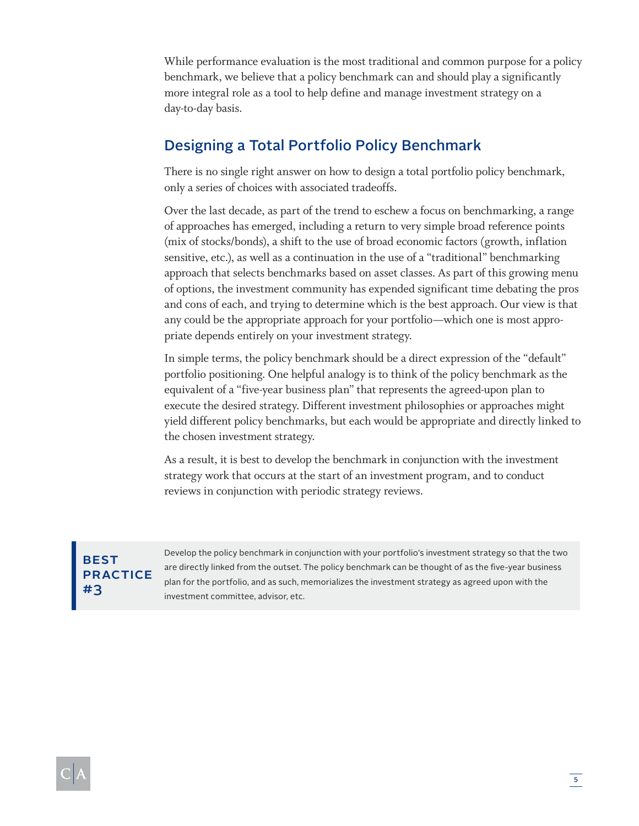While performance evaluation is the most traditional and common purpose for a policy benchmark, we believe that a policy benchmark can and should play a significantly more integral role as a tool to help define and manage investment strategy on a day-to-day basis.

## Designing a Total Portfolio Policy Benchmark

There is no single right answer on how to design a total portfolio policy benchmark, only a series of choices with associated tradeoffs.

Over the last decade, as part of the trend to eschew a focus on benchmarking, a range of approaches has emerged, including a return to very simple broad reference points (mix of stocks/bonds), a shift to the use of broad economic factors (growth, inflation sensitive, etc.), as well as a continuation in the use of a "traditional" benchmarking approach that selects benchmarks based on asset classes. As part of this growing menu of options, the investment community has expended significant time debating the pros and cons of each, and trying to determine which is the best approach. Our view is that any could be the appropriate approach for your portfolio—which one is most appropriate depends entirely on your investment strategy.

In simple terms, the policy benchmark should be a direct expression of the "default" portfolio positioning. One helpful analogy is to think of the policy benchmark as the equivalent of a "five-year business plan" that represents the agreed-upon plan to execute the desired strategy. Different investment philosophies or approaches might yield different policy benchmarks, but each would be appropriate and directly linked to the chosen investment strategy.

As a result, it is best to develop the benchmark in conjunction with the investment strategy work that occurs at the start of an investment program, and to conduct reviews in conjunction with periodic strategy reviews.

## BEST **PRACTICE** #3

Develop the policy benchmark in conjunction with your portfolio's investment strategy so that the two are directly linked from the outset. The policy benchmark can be thought of as the fve-year business plan for the portfolio, and as such, memorializes the investment strategy as agreed upon with the investment committee, advisor, etc.

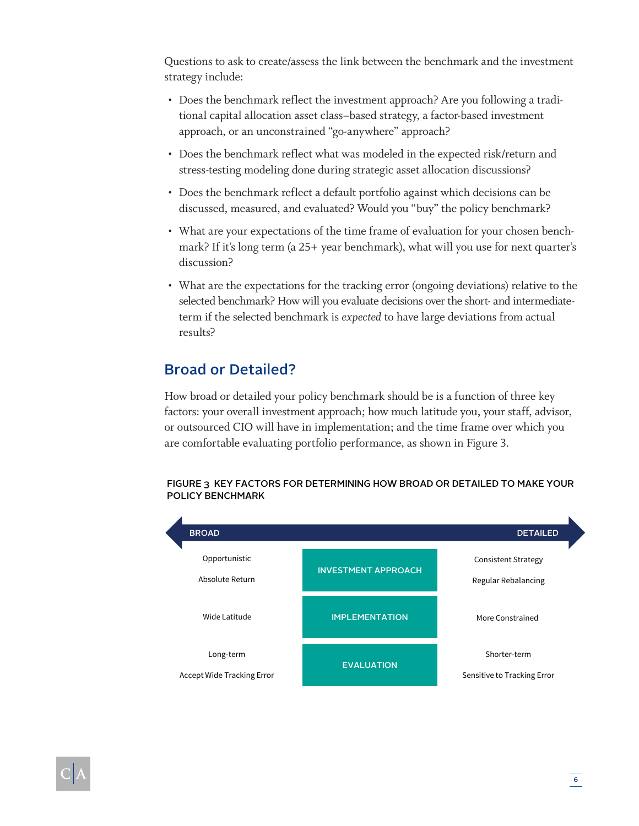Questions to ask to create/assess the link between the benchmark and the investment strategy include:

- Does the benchmark reflect the investment approach? Are you following a traditional capital allocation asset class–based strategy, a factor-based investment approach, or an unconstrained "go-anywhere" approach?
- Does the benchmark reflect what was modeled in the expected risk/return and stress-testing modeling done during strategic asset allocation discussions?
- Does the benchmark reflect a default portfolio against which decisions can be discussed, measured, and evaluated? Would you "buy" the policy benchmark?
- What are your expectations of the time frame of evaluation for your chosen benchmark? If it's long term (a 25+ year benchmark), what will you use for next quarter's discussion?
- What are the expectations for the tracking error (ongoing deviations) relative to the selected benchmark? How will you evaluate decisions over the short- and intermediateterm if the selected benchmark is *expected* to have large deviations from actual results?

## Broad or Detailed?

How broad or detailed your policy benchmark should be is a function of three key factors: your overall investment approach; how much latitude you, your staff, advisor, or outsourced CIO will have in implementation; and the time frame over which you are comfortable evaluating portfolio performance, as shown in Figure 3.

#### FIGURE 3 KEY FACTORS FOR DETERMINING HOW BROAD OR DETAILED TO MAKE YOUR POLICY BENCHMARK



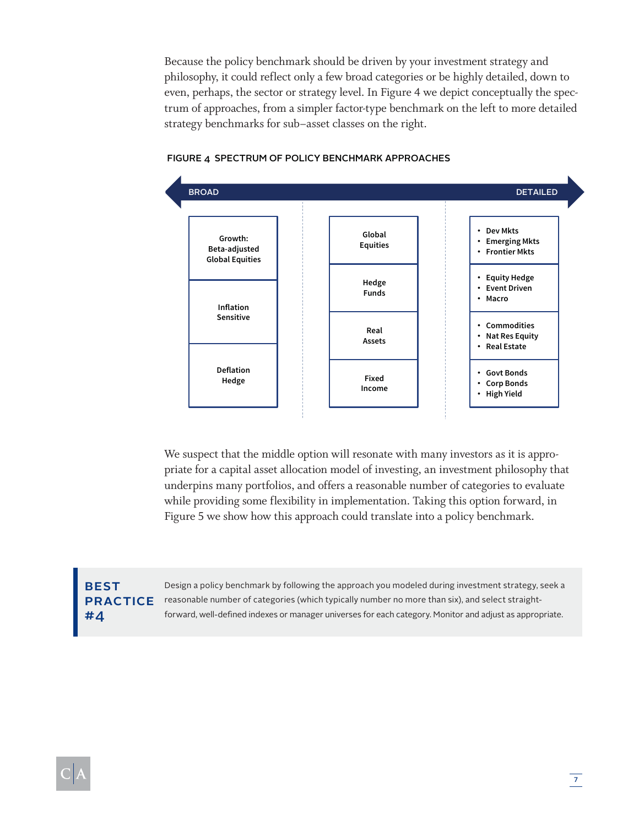Because the policy benchmark should be driven by your investment strategy and philosophy, it could reflect only a few broad categories or be highly detailed, down to even, perhaps, the sector or strategy level. In Figure 4 we depict conceptually the spectrum of approaches, from a simpler factor-type benchmark on the left to more detailed strategy benchmarks for sub–asset classes on the right.



#### FIGURE 4 SPECTRUM OF POLICY BENCHMARK APPROACHES

We suspect that the middle option will resonate with many investors as it is appropriate for a capital asset allocation model of investing, an investment philosophy that underpins many portfolios, and offers a reasonable number of categories to evaluate while providing some flexibility in implementation. Taking this option forward, in Figure 5 we show how this approach could translate into a policy benchmark.

## BEST #4

Design a policy benchmark by following the approach you modeled during investment strategy, seek a PRACTICE reasonable number of categories (which typically number no more than six), and select straightforward, well-defned indexes or manager universes for each category. Monitor and adjust as appropriate.

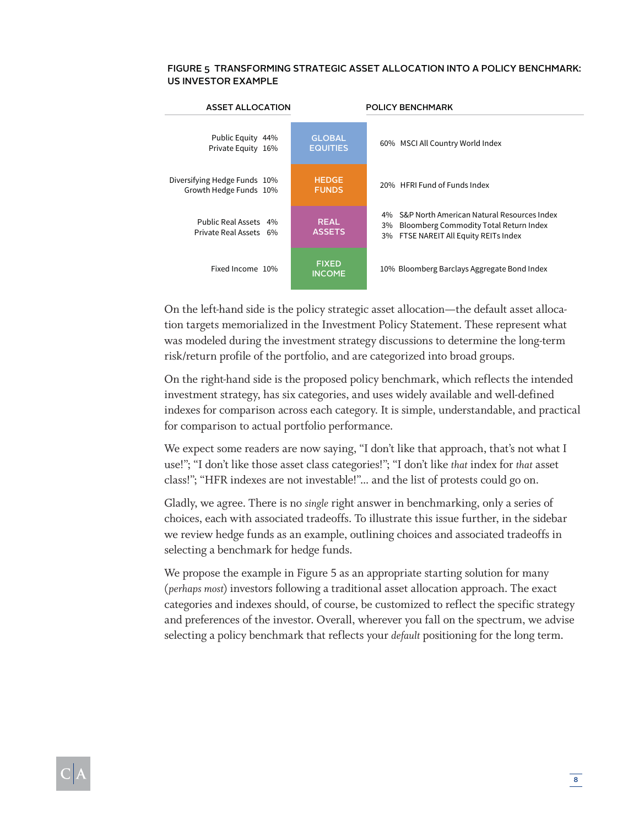#### FIGURE 5 TRANSFORMING STRATEGIC ASSET ALLOCATION INTO A POLICY BENCHMARK: US INVESTOR EXAMPLE

| <b>ASSET ALLOCATION</b>                                |                                  | POLICY BENCHMARK                                                                                                                                |  |  |
|--------------------------------------------------------|----------------------------------|-------------------------------------------------------------------------------------------------------------------------------------------------|--|--|
| Public Equity 44%<br>Private Equity 16%                | <b>GLOBAL</b><br><b>EQUITIES</b> | 60% MSCI All Country World Index                                                                                                                |  |  |
| Diversifying Hedge Funds 10%<br>Growth Hedge Funds 10% | <b>HEDGE</b><br><b>FUNDS</b>     | 20% HERL Fund of Funds Index                                                                                                                    |  |  |
| Public Real Assets 4%<br>Private Real Assets 6%        | <b>REAL</b><br><b>ASSETS</b>     | S&P North American Natural Resources Index<br>4%<br>Bloomberg Commodity Total Return Index<br>3%<br>FTSE NAREIT All Equity REITs Index<br>$3\%$ |  |  |
| Fixed Income 10%                                       | <b>FIXED</b><br><b>INCOME</b>    | 10% Bloomberg Barclays Aggregate Bond Index                                                                                                     |  |  |

On the left-hand side is the policy strategic asset allocation—the default asset allocation targets memorialized in the Investment Policy Statement. These represent what was modeled during the investment strategy discussions to determine the long-term risk/return profile of the portfolio, and are categorized into broad groups.

On the right-hand side is the proposed policy benchmark, which reflects the intended investment strategy, has six categories, and uses widely available and well-defined indexes for comparison across each category. It is simple, understandable, and practical for comparison to actual portfolio performance.

We expect some readers are now saying, "I don't like that approach, that's not what I use!"; "I don't like those asset class categories!"; "I don't like *that* index for *that* asset class!"; "HFR indexes are not investable!"... and the list of protests could go on.

Gladly, we agree. There is no *single* right answer in benchmarking, only a series of choices, each with associated tradeoffs. To illustrate this issue further, in the sidebar we review hedge funds as an example, outlining choices and associated tradeoffs in selecting a benchmark for hedge funds.

We propose the example in Figure 5 as an appropriate starting solution for many (*perhaps most*) investors following a traditional asset allocation approach. The exact categories and indexes should, of course, be customized to reflect the specific strategy and preferences of the investor. Overall, wherever you fall on the spectrum, we advise selecting a policy benchmark that reflects your *default* positioning for the long term.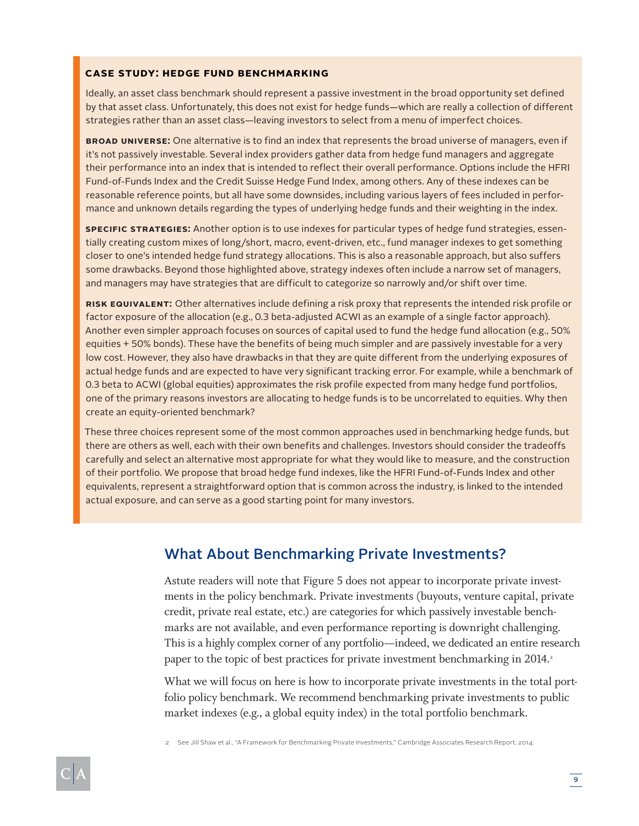#### **CASE STUDY: HEDGE FUND BENCHMARKING**

Ideally, an asset class benchmark should represent a passive investment in the broad opportunity set defined by that asset class. Unfortunately, this does not exist for hedge funds—which are really a collection of different strategies rather than an asset class—leaving investors to select from a menu of imperfect choices.

**BROAD UNIVERSE:** One alternative is to find an index that represents the broad universe of managers, even if it's not passively investable. Several index providers gather data from hedge fund managers and aggregate their performance into an index that is intended to reflect their overall performance. Options include the HFRI Fund-of-Funds Index and the Credit Suisse Hedge Fund Index, among others. Any of these indexes can be reasonable reference points, but all have some downsides, including various layers of fees included in performance and unknown details regarding the types of underlying hedge funds and their weighting in the index.

**SPECIFIC STRATEGIES:** Another option is to use indexes for particular types of hedge fund strategies, essentially creating custom mixes of long/short, macro, event-driven, etc., fund manager indexes to get something closer to one's intended hedge fund strategy allocations. This is also a reasonable approach, but also suffers some drawbacks. Beyond those highlighted above, strategy indexes often include a narrow set of managers, and managers may have strategies that are difficult to categorize so narrowly and/or shift over time.

**RISK EQUIVALENT:** Other alternatives include defining a risk proxy that represents the intended risk profile or factor exposure of the allocation (e.g., 0.3 beta-adjusted ACWI as an example of a single factor approach). Another even simpler approach focuses on sources of capital used to fund the hedge fund allocation (e.g., 50% equities + 50% bonds). These have the benefits of being much simpler and are passively investable for a very low cost. However, they also have drawbacks in that they are quite different from the underlying exposures of actual hedge funds and are expected to have very significant tracking error. For example, while a benchmark of 0.3 beta to ACWI (global equities) approximates the risk profile expected from many hedge fund portfolios, one of the primary reasons investors are allocating to hedge funds is to be uncorrelated to equities. Why then create an equity-oriented benchmark?

These three choices represent some of the most common approaches used in benchmarking hedge funds, but there are others as well, each with their own benefits and challenges. Investors should consider the tradeoffs carefully and select an alternative most appropriate for what they would like to measure, and the construction of their portfolio. We propose that broad hedge fund indexes, like the HFRI Fund-of-Funds Index and other equivalents, represent a straightforward option that is common across the industry, is linked to the intended actual exposure, and can serve as a good starting point for many investors.

## What About Benchmarking Private Investments?

Astute readers will note that Figure 5 does not appear to incorporate private investments in the policy benchmark. Private investments (buyouts, venture capital, private credit, private real estate, etc.) are categories for which passively investable benchmarks are not available, and even performance reporting is downright challenging. This is a highly complex corner of any portfolio—indeed, we dedicated an entire research paper to the topic of best practices for private investment benchmarking in 2014.

What we will focus on here is how to incorporate private investments in the total portfolio policy benchmark. We recommend benchmarking private investments to public market indexes (e.g., a global equity index) in the total portfolio benchmark.

2 See Jill Shaw et al., "A Framework for Benchmarking Private Investments," Cambridge Associates Research Report, 2014.

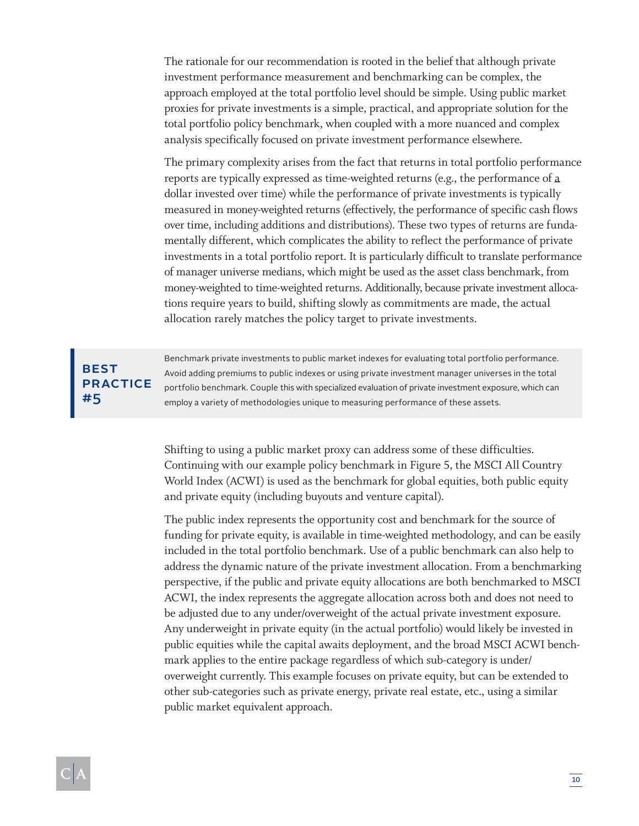The rationale for our recommendation is rooted in the belief that although private investment performance measurement and benchmarking can be complex, the approach employed at the total portfolio level should be simple. Using public market proxies for private investments is a simple, practical, and appropriate solution for the total portfolio policy benchmark, when coupled with a more nuanced and complex analysis specifically focused on private investment performance elsewhere.

The primary complexity arises from the fact that returns in total portfolio performance reports are typically expressed as time-weighted returns (e.g., the performance of a dollar invested over time) while the performance of private investments is typically measured in money-weighted returns (effectively, the performance of specific cash flows over time, including additions and distributions). These two types of returns are fundamentally different, which complicates the ability to reflect the performance of private investments in a total portfolio report. It is particularly difficult to translate performance of manager universe medians, which might be used as the asset class benchmark, from money-weighted to time-weighted returns. Additionally, because private investment allocations require years to build, shifting slowly as commitments are made, the actual allocation rarely matches the policy target to private investments.

## **BEST** PRACTICE #5

Benchmark private investments to public market indexes for evaluating total portfolio performance. Avoid adding premiums to public indexes or using private investment manager universes in the total portfolio benchmark. Couple this with specialized evaluation of private investment exposure, which can employ a variety of methodologies unique to measuring performance of these assets.

Shifting to using a public market proxy can address some of these difficulties. Continuing with our example policy benchmark in Figure 5, the MSCI All Country World Index (ACWI) is used as the benchmark for global equities, both public equity and private equity (including buyouts and venture capital).

The public index represents the opportunity cost and benchmark for the source of funding for private equity, is available in time-weighted methodology, and can be easily included in the total portfolio benchmark. Use of a public benchmark can also help to address the dynamic nature of the private investment allocation. From a benchmarking perspective, if the public and private equity allocations are both benchmarked to MSCI ACWI, the index represents the aggregate allocation across both and does not need to be adjusted due to any under/overweight of the actual private investment exposure. Any underweight in private equity (in the actual portfolio) would likely be invested in public equities while the capital awaits deployment, and the broad MSCI ACWI benchmark applies to the entire package regardless of which sub-category is under/ overweight currently. This example focuses on private equity, but can be extended to other sub-categories such as private energy, private real estate, etc., using a similar public market equivalent approach.

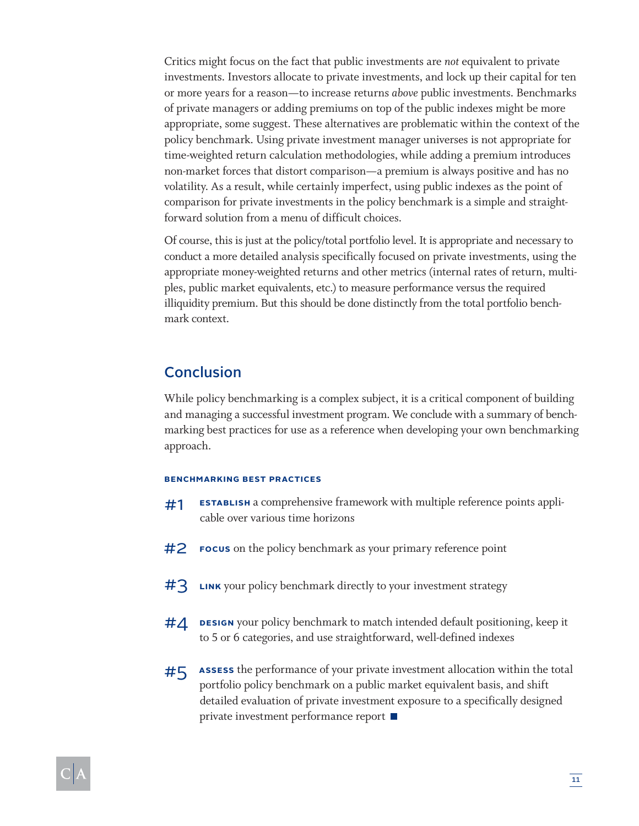Critics might focus on the fact that public investments are *not* equivalent to private investments. Investors allocate to private investments, and lock up their capital for ten or more years for a reason—to increase returns *above* public investments. Benchmarks of private managers or adding premiums on top of the public indexes might be more appropriate, some suggest. These alternatives are problematic within the context of the policy benchmark. Using private investment manager universes is not appropriate for time-weighted return calculation methodologies, while adding a premium introduces non-market forces that distort comparison—a premium is always positive and has no volatility. As a result, while certainly imperfect, using public indexes as the point of comparison for private investments in the policy benchmark is a simple and straightforward solution from a menu of difficult choices.

Of course, this is just at the policy/total portfolio level. It is appropriate and necessary to conduct a more detailed analysis specifically focused on private investments, using the appropriate money-weighted returns and other metrics (internal rates of return, multiples, public market equivalents, etc.) to measure performance versus the required illiquidity premium. But this should be done distinctly from the total portfolio benchmark context.

## **Conclusion**

While policy benchmarking is a complex subject, it is a critical component of building and managing a successful investment program. We conclude with a summary of benchmarking best practices for use as a reference when developing your own benchmarking approach.

#### **BENCHMARKING BEST PRACTICES**

- **ESTABLISH** a comprehensive framework with multiple reference points applicable over various time horizons #1
- **FOCUS** on the policy benchmark as your primary reference point #2
- **LINK** your policy benchmark directly to your investment strategy #3
- **DESIGN** your policy benchmark to match intended default positioning, keep it to 5 or 6 categories, and use straightforward, well-defined indexes #4
- **ASSESS** the performance of your private investment allocation within the total portfolio policy benchmark on a public market equivalent basis, and shift detailed evaluation of private investment exposure to a specifically designed private investment performance report #5